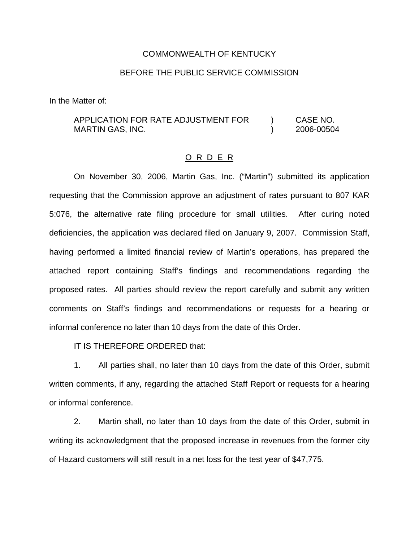### COMMONWEALTH OF KENTUCKY

## BEFORE THE PUBLIC SERVICE COMMISSION

In the Matter of:

# APPLICATION FOR RATE ADJUSTMENT FOR ) CASE NO. MARTIN GAS, INC. (2006-00504)

## O R D E R

On November 30, 2006, Martin Gas, Inc. ("Martin") submitted its application requesting that the Commission approve an adjustment of rates pursuant to 807 KAR 5:076, the alternative rate filing procedure for small utilities. After curing noted deficiencies, the application was declared filed on January 9, 2007. Commission Staff, having performed a limited financial review of Martin's operations, has prepared the attached report containing Staff's findings and recommendations regarding the proposed rates. All parties should review the report carefully and submit any written comments on Staff's findings and recommendations or requests for a hearing or informal conference no later than 10 days from the date of this Order.

IT IS THEREFORE ORDERED that:

1. All parties shall, no later than 10 days from the date of this Order, submit written comments, if any, regarding the attached Staff Report or requests for a hearing or informal conference.

2. Martin shall, no later than 10 days from the date of this Order, submit in writing its acknowledgment that the proposed increase in revenues from the former city of Hazard customers will still result in a net loss for the test year of \$47,775.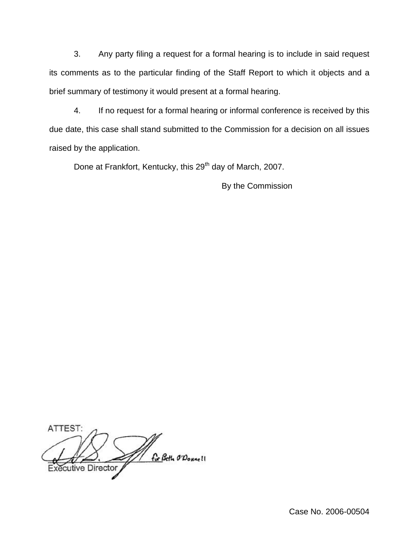3. Any party filing a request for a formal hearing is to include in said request its comments as to the particular finding of the Staff Report to which it objects and a brief summary of testimony it would present at a formal hearing.

4. If no request for a formal hearing or informal conference is received by this due date, this case shall stand submitted to the Commission for a decision on all issues raised by the application.

Done at Frankfort, Kentucky, this 29<sup>th</sup> day of March, 2007.

By the Commission

ATTEST: For Beth O'Donne! cutive Director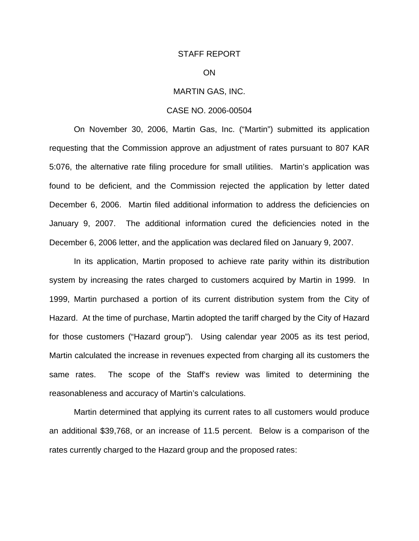#### STAFF REPORT

### ON

## MARTIN GAS, INC.

#### CASE NO. 2006-00504

On November 30, 2006, Martin Gas, Inc. ("Martin") submitted its application requesting that the Commission approve an adjustment of rates pursuant to 807 KAR 5:076, the alternative rate filing procedure for small utilities. Martin's application was found to be deficient, and the Commission rejected the application by letter dated December 6, 2006. Martin filed additional information to address the deficiencies on January 9, 2007. The additional information cured the deficiencies noted in the December 6, 2006 letter, and the application was declared filed on January 9, 2007.

In its application, Martin proposed to achieve rate parity within its distribution system by increasing the rates charged to customers acquired by Martin in 1999. In 1999, Martin purchased a portion of its current distribution system from the City of Hazard. At the time of purchase, Martin adopted the tariff charged by the City of Hazard for those customers ("Hazard group"). Using calendar year 2005 as its test period, Martin calculated the increase in revenues expected from charging all its customers the same rates. The scope of the Staff's review was limited to determining the reasonableness and accuracy of Martin's calculations.

Martin determined that applying its current rates to all customers would produce an additional \$39,768, or an increase of 11.5 percent. Below is a comparison of the rates currently charged to the Hazard group and the proposed rates: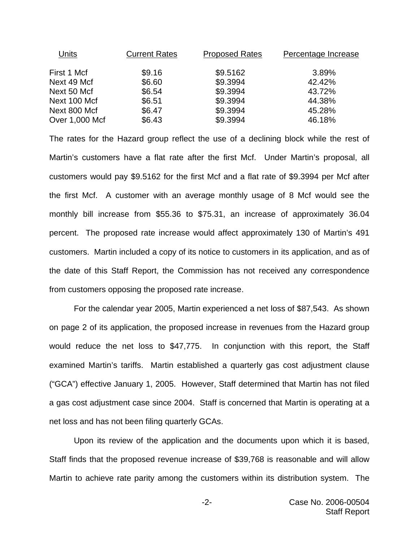| Units          | <b>Current Rates</b> | <b>Proposed Rates</b> | Percentage Increase |
|----------------|----------------------|-----------------------|---------------------|
| First 1 Mcf    | \$9.16               | \$9.5162              | 3.89%               |
| Next 49 Mcf    | \$6.60               | \$9.3994              | 42.42%              |
| Next 50 Mcf    | \$6.54               | \$9.3994              | 43.72%              |
| Next 100 Mcf   | \$6.51               | \$9.3994              | 44.38%              |
| Next 800 Mcf   | \$6.47               | \$9.3994              | 45.28%              |
| Over 1,000 Mcf | \$6.43               | \$9.3994              | 46.18%              |

The rates for the Hazard group reflect the use of a declining block while the rest of Martin's customers have a flat rate after the first Mcf. Under Martin's proposal, all customers would pay \$9.5162 for the first Mcf and a flat rate of \$9.3994 per Mcf after the first Mcf. A customer with an average monthly usage of 8 Mcf would see the monthly bill increase from \$55.36 to \$75.31, an increase of approximately 36.04 percent. The proposed rate increase would affect approximately 130 of Martin's 491 customers. Martin included a copy of its notice to customers in its application, and as of the date of this Staff Report, the Commission has not received any correspondence from customers opposing the proposed rate increase.

For the calendar year 2005, Martin experienced a net loss of \$87,543. As shown on page 2 of its application, the proposed increase in revenues from the Hazard group would reduce the net loss to \$47,775. In conjunction with this report, the Staff examined Martin's tariffs. Martin established a quarterly gas cost adjustment clause ("GCA") effective January 1, 2005. However, Staff determined that Martin has not filed a gas cost adjustment case since 2004. Staff is concerned that Martin is operating at a net loss and has not been filing quarterly GCAs.

Upon its review of the application and the documents upon which it is based, Staff finds that the proposed revenue increase of \$39,768 is reasonable and will allow Martin to achieve rate parity among the customers within its distribution system. The